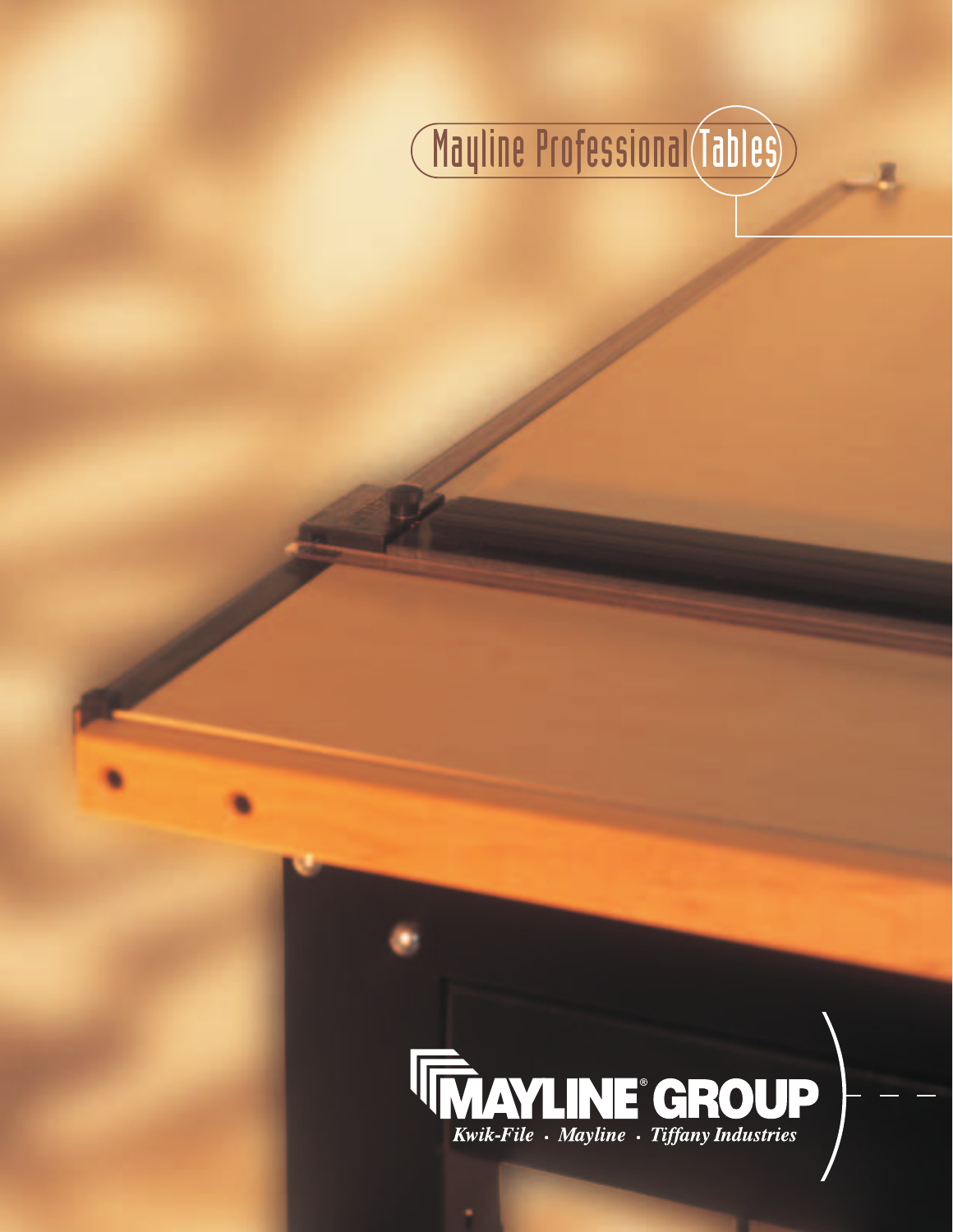

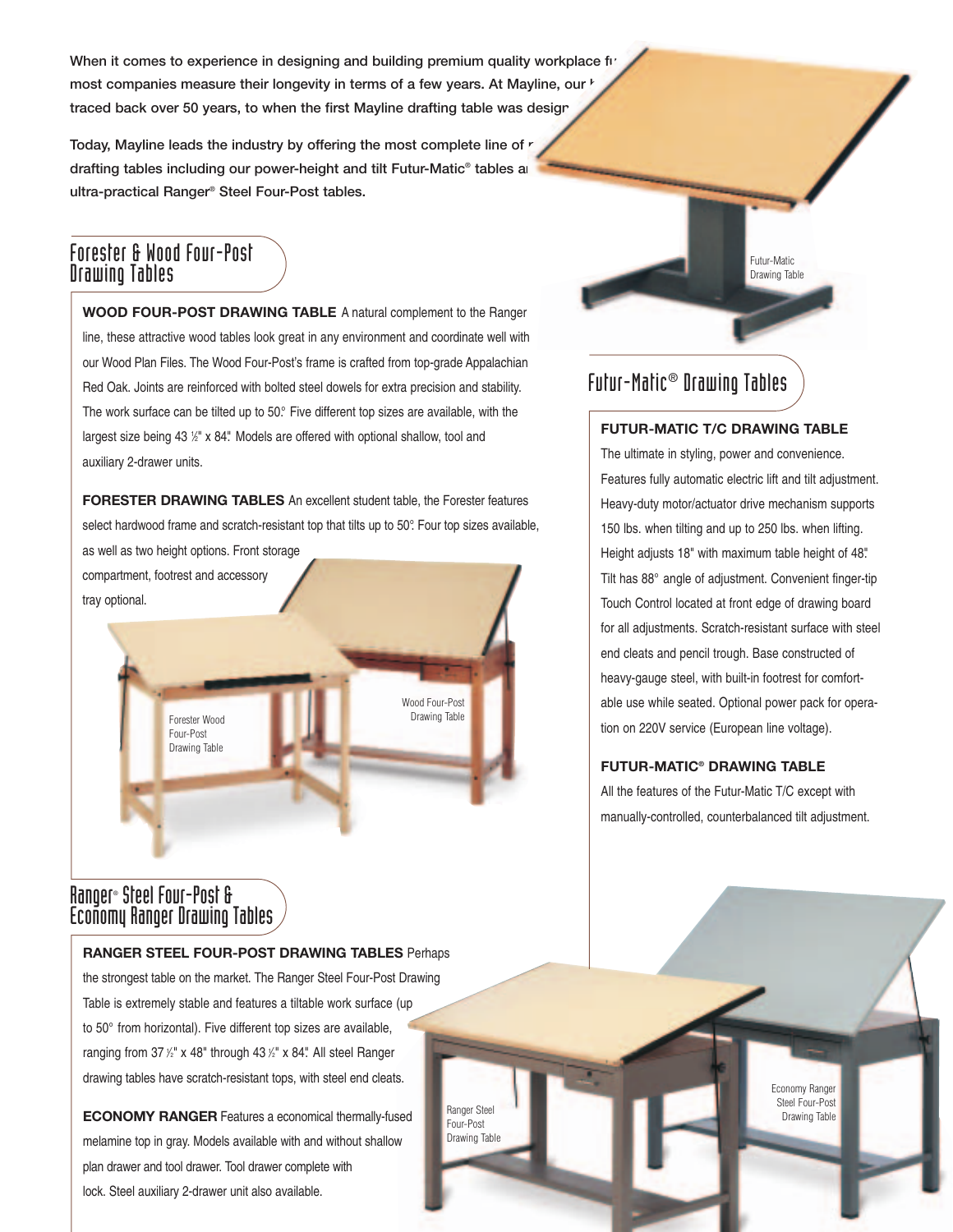When it comes to experience in designing and building premium quality workplace fire most companies measure their longevity in terms of a few years. At Mayline, our <sup>1</sup> traced back over 50 years, to when the first Mayline drafting table was desigr

Today, Mayline leads the industry by offering the most complete line of *r* drafting tables including our power-height and tilt Futur-Matic<sup>®</sup> tables and **ultra-practical Ranger® Steel Four-Post tables.**

### Forester & Wood Four-Post Drawing Tables

**WOOD FOUR-POST DRAWING TABLE** A natural complement to the Ranger line, these attractive wood tables look great in any environment and coordinate well with our Wood Plan Files. The Wood Four-Post's frame is crafted from top-grade Appalachian Red Oak. Joints are reinforced with bolted steel dowels for extra precision and stability. The work surface can be tilted up to 50°. Five different top sizes are available, with the largest size being 43 1/2" x 84." Models are offered with optional shallow, tool and auxiliary 2-drawer units.

**FORESTER DRAWING TABLES** An excellent student table, the Forester features select hardwood frame and scratch-resistant top that tilts up to 50°. Four top sizes available,

as well as two height options. Front storage compartment, footrest and accessory tray optional.

> Forester Wood Four-Post Drawing Table

Wood Four-Post Drawing Table

> Ranger Steel Four-Post Drawing Table

### Ranger® Steel Four-Post & Economy Ranger Drawing Tables

#### **RANGER STEEL FOUR-POST DRAWING TABLES** Perhaps

the strongest table on the market. The Ranger Steel Four-Post Drawing Table is extremely stable and features a tiltable work surface (up to 50° from horizontal). Five different top sizes are available, ranging from 37  $\frac{1}{2}$ " x 48" through 43  $\frac{1}{2}$ " x 84". All steel Ranger drawing tables have scratch-resistant tops, with steel end cleats.

**ECONOMY RANGER** Features a economical thermally-fused melamine top in gray. Models available with and without shallow plan drawer and tool drawer. Tool drawer complete with lock. Steel auxiliary 2-drawer unit also available.

# Futur-Matic® Drawing Tables

#### **FUTUR-MATIC T/C DRAWING TABLE**

Futur-Matic Drawing Table

The ultimate in styling, power and convenience. Features fully automatic electric lift and tilt adjustment. Heavy-duty motor/actuator drive mechanism supports 150 lbs. when tilting and up to 250 lbs. when lifting. Height adjusts 18" with maximum table height of 48". Tilt has 88° angle of adjustment. Convenient finger-tip Touch Control located at front edge of drawing board for all adjustments. Scratch-resistant surface with steel end cleats and pencil trough. Base constructed of heavy-gauge steel, with built-in footrest for comfortable use while seated. Optional power pack for operation on 220V service (European line voltage).

### **FUTUR-MATIC® DRAWING TABLE**

All the features of the Futur-Matic T/C except with manually-controlled, counterbalanced tilt adjustment.

> Economy Ranger Steel Four-Post Drawing Table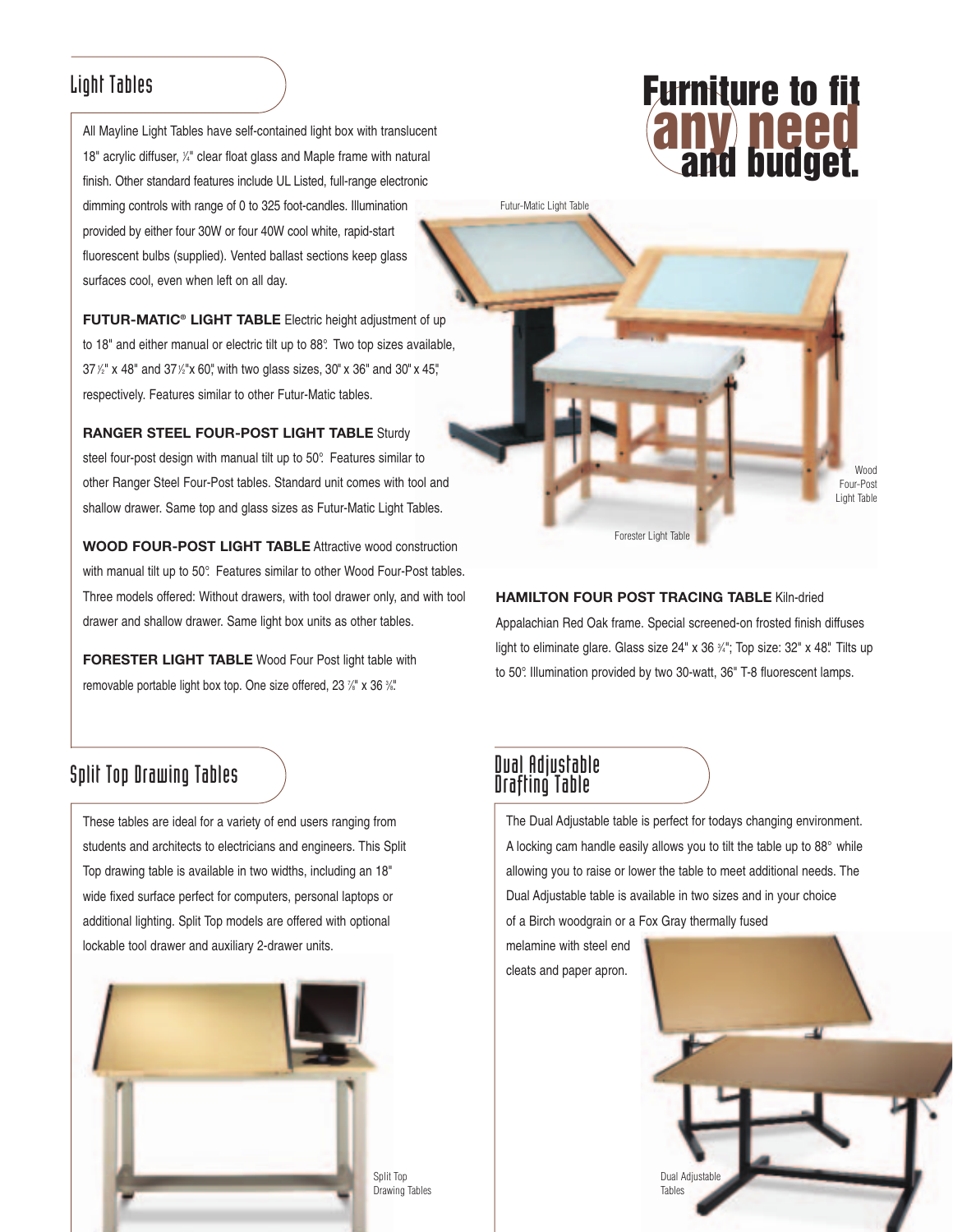### Light Tables

All Mayline Light Tables have self-contained light box with translucent 18" acrylic diffuser,  $\frac{1}{4}$ " clear float glass and Maple frame with natural finish. Other standard features include UL Listed, full-range electronic dimming controls with range of 0 to 325 foot-candles. Illumination provided by either four 30W or four 40W cool white, rapid-start fluorescent bulbs (supplied). Vented ballast sections keep glass surfaces cool, even when left on all day.

**FUTUR-MATIC® LIGHT TABLE** Electric height adjustment of up to 18" and either manual or electric tilt up to 88°. Two top sizes available, 37 <sup>1</sup> ⁄2" x 48" and 371 ⁄2"x 60", with two glass sizes, 30" x 36" and 30" x 45", respectively. Features similar to other Futur-Matic tables.

**RANGER STEEL FOUR-POST LIGHT TABLE** Sturdy steel four-post design with manual tilt up to 50°. Features similar to other Ranger Steel Four-Post tables. Standard unit comes with tool and shallow drawer. Same top and glass sizes as Futur-Matic Light Tables.

**WOOD FOUR-POST LIGHT TABLE** Attractive wood construction with manual tilt up to 50°. Features similar to other Wood Four-Post tables. Three models offered: Without drawers, with tool drawer only, and with tool drawer and shallow drawer. Same light box units as other tables.

**FORESTER LIGHT TABLE** Wood Four Post light table with removable portable light box top. One size offered, 23 <sup>7/8</sup> x 36 <sup>3/8</sup>

## **Split Top Drawing Tables**

These tables are ideal for a variety of end users ranging from students and architects to electricians and engineers. This Split Top drawing table is available in two widths, including an 18" wide fixed surface perfect for computers, personal laptops or additional lighting. Split Top models are offered with optional lockable tool drawer and auxiliary 2-drawer units.



# **Furniture to fit<br>
<b>ANY NEED**<br> **And budget.**

Wood Four-Post Light Table

Forester Light Table

### **HAMILTON FOUR POST TRACING TABLE** Kiln-dried

Appalachian Red Oak frame. Special screened-on frosted finish diffuses light to eliminate glare. Glass size 24" x 36 ¾"; Top size: 32" x 48". Tilts up to 50°. Illumination provided by two 30-watt, 36" T-8 fluorescent lamps.

# Dual Adjustable<br>Drafting Table

Futur-Matic Light Table

The Dual Adjustable table is perfect for todays changing environment. A locking cam handle easily allows you to tilt the table up to 88° while allowing you to raise or lower the table to meet additional needs. The Dual Adjustable table is available in two sizes and in your choice of a Birch woodgrain or a Fox Gray thermally fused

melamine with steel end cleats and paper apron.